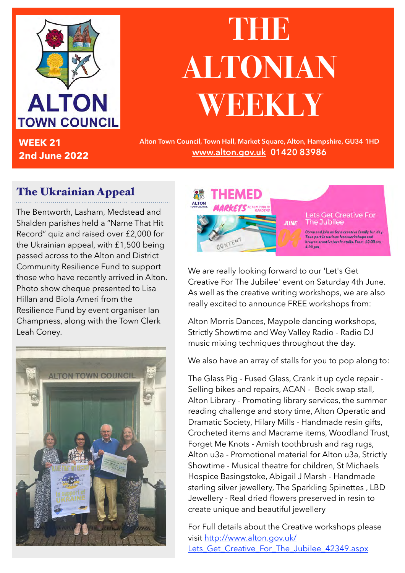

**WEEK 21 2nd June 2022**

## **THE ALTONIAN WEEKLY**

**Alton Town Council, Town Hall, Market Square, Alton, Hampshire, GU34 1HD [www.alton.gov.uk](http://www.alton.gov.uk) 01420 83986**

## The Ukrainian Appeal

The Bentworth, Lasham, Medstead and Shalden parishes held a "Name That Hit Record" quiz and raised over £2,000 for the Ukrainian appeal, with £1,500 being passed across to the Alton and District Community Resilience Fund to support those who have recently arrived in Alton. Photo show cheque presented to Lisa Hillan and Biola Ameri from the Resilience Fund by event organiser Ian Champness, along with the Town Clerk Leah Coney.



**JUNE** CONTEN

**Lets Get Creative For** The Jubilee

Come and join us for a creative family fun day. Take part in various free workshops browse creative/craft stalls. From 10:00 am - $4:00~\mathrm{nm}$ 

We are really looking forward to our 'Let's Get Creative For The Jubilee' event on Saturday 4th June. As well as the creative writing workshops, we are also really excited to announce FREE workshops from:

Alton Morris Dances, Maypole dancing workshops, Strictly Showtime and Wey Valley Radio - Radio DJ music mixing techniques throughout the day.

We also have an array of stalls for you to pop along to:

The Glass Pig - Fused Glass, Crank it up cycle repair - Selling bikes and repairs, ACAN - Book swap stall, Alton Library - Promoting library services, the summer reading challenge and story time, Alton Operatic and Dramatic Society, Hilary Mills - Handmade resin gifts, Crocheted items and Macrame items, Woodland Trust, Forget Me Knots - Amish toothbrush and rag rugs, Alton u3a - Promotional material for Alton u3a, Strictly Showtime - Musical theatre for children, St Michaels Hospice Basingstoke, Abigail J Marsh - Handmade sterling silver jewellery, The Sparkling Spinettes , LBD Jewellery - Real dried flowers preserved in resin to create unique and beautiful jewellery

For Full details about the Creative workshops please visit [http://www.alton.gov.uk/](http://www.alton.gov.uk/Lets_Get_Creative_For_The_Jubilee_42349.aspx) Lets Get Creative For The Jubilee 42349.aspx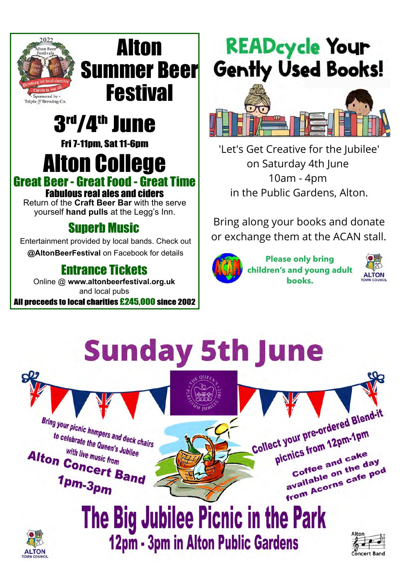